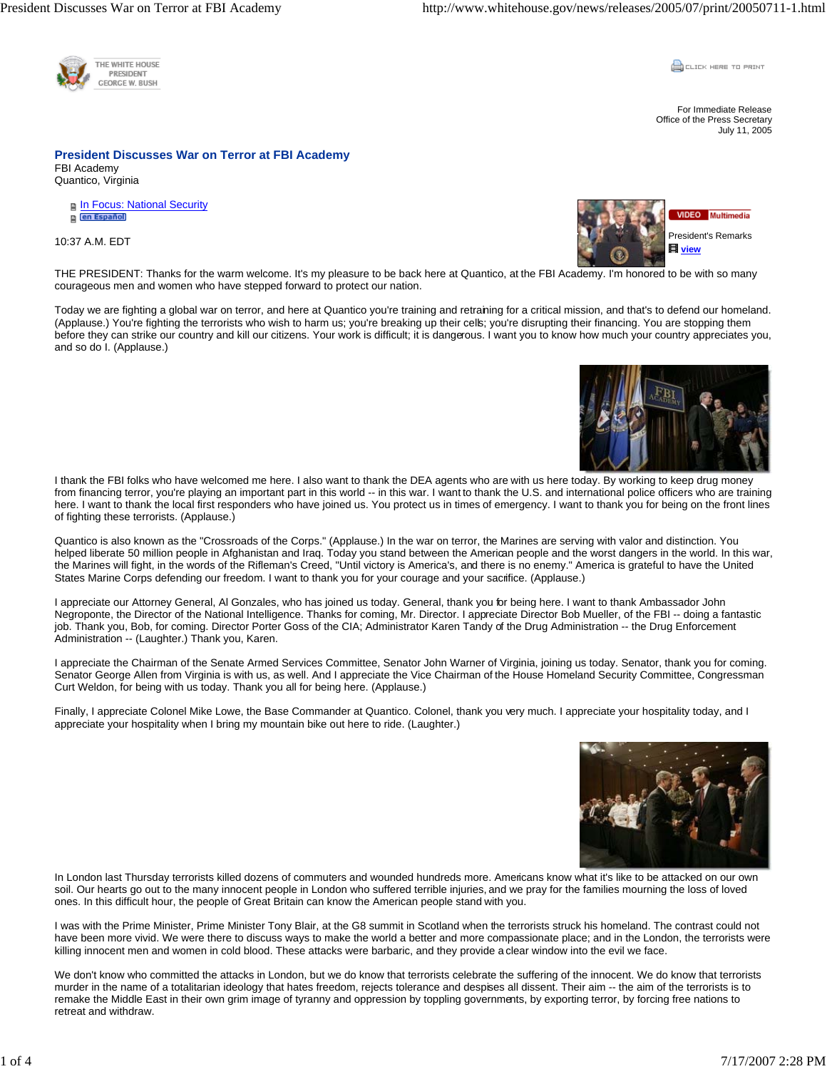

**CLICK HERE TO PRINT** 

For Immediate Release Office of the Press Secretary July 11, 2005

**President Discusses War on Terror at FBI Academy**  FBI Academy Quantico, Virginia

**n** In Focus: National Security en Español

10:37 A.M. EDT



THE PRESIDENT: Thanks for the warm welcome. It's my pleasure to be back here at Quantico, at the FBI Academy. I'm honored to be with so many courageous men and women who have stepped forward to protect our nation.

Today we are fighting a global war on terror, and here at Quantico you're training and retraining for a critical mission, and that's to defend our homeland. (Applause.) You're fighting the terrorists who wish to harm us; you're breaking up their cells; you're disrupting their financing. You are stopping them before they can strike our country and kill our citizens. Your work is difficult; it is dangerous. I want you to know how much your country appreciates you, and so do I. (Applause.)



Quantico is also known as the "Crossroads of the Corps." (Applause.) In the war on terror, the Marines are serving with valor and distinction. You helped liberate 50 million people in Afghanistan and Iraq. Today you stand between the American people and the worst dangers in the world. In this war, the Marines will fight, in the words of the Rifleman's Creed, "Until victory is America's, and there is no enemy." America is grateful to have the United States Marine Corps defending our freedom. I want to thank you for your courage and your sacrifice. (Applause.)

I appreciate our Attorney General, Al Gonzales, who has joined us today. General, thank you for being here. I want to thank Ambassador John Negroponte, the Director of the National Intelligence. Thanks for coming, Mr. Director. I appreciate Director Bob Mueller, of the FBI -- doing a fantastic job. Thank you, Bob, for coming. Director Porter Goss of the CIA; Administrator Karen Tandy of the Drug Administration -- the Drug Enforcement Administration -- (Laughter.) Thank you, Karen.

I appreciate the Chairman of the Senate Armed Services Committee, Senator John Warner of Virginia, joining us today. Senator, thank you for coming. Senator George Allen from Virginia is with us, as well. And I appreciate the Vice Chairman of the House Homeland Security Committee, Congressman Curt Weldon, for being with us today. Thank you all for being here. (Applause.)

Finally, I appreciate Colonel Mike Lowe, the Base Commander at Quantico. Colonel, thank you very much. I appreciate your hospitality today, and I appreciate your hospitality when I bring my mountain bike out here to ride. (Laughter.)



In London last Thursday terrorists killed dozens of commuters and wounded hundreds more. Americans know what it's like to be attacked on our own soil. Our hearts go out to the many innocent people in London who suffered terrible injuries, and we pray for the families mourning the loss of loved ones. In this difficult hour, the people of Great Britain can know the American people stand with you.

I was with the Prime Minister, Prime Minister Tony Blair, at the G8 summit in Scotland when the terrorists struck his homeland. The contrast could not have been more vivid. We were there to discuss ways to make the world a better and more compassionate place; and in the London, the terrorists were killing innocent men and women in cold blood. These attacks were barbaric, and they provide a clear window into the evil we face.

We don't know who committed the attacks in London, but we do know that terrorists celebrate the suffering of the innocent. We do know that terrorists murder in the name of a totalitarian ideology that hates freedom, rejects tolerance and despises all dissent. Their aim -- the aim of the terrorists is to remake the Middle East in their own grim image of tyranny and oppression by toppling governments, by exporting terror, by forcing free nations to retreat and withdraw.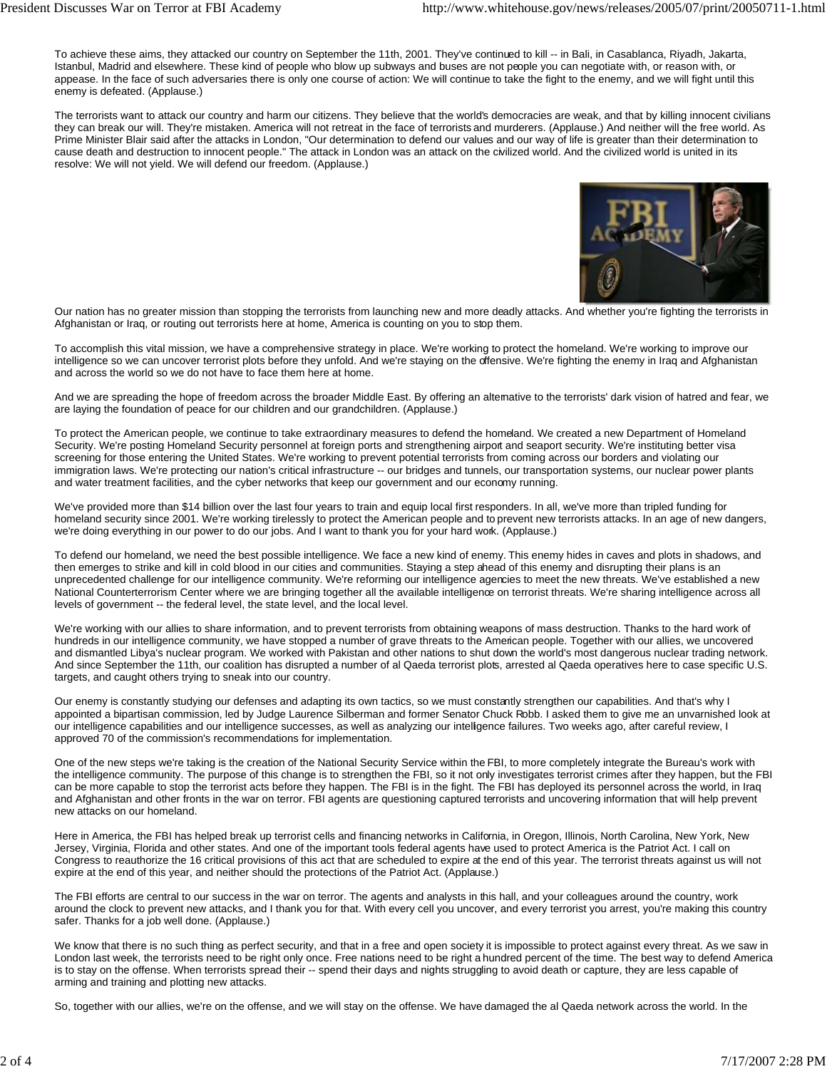To achieve these aims, they attacked our country on September the 11th, 2001. They've continued to kill -- in Bali, in Casablanca, Riyadh, Jakarta, Istanbul, Madrid and elsewhere. These kind of people who blow up subways and buses are not people you can negotiate with, or reason with, or appease. In the face of such adversaries there is only one course of action: We will continue to take the fight to the enemy, and we will fight until this enemy is defeated. (Applause.)

The terrorists want to attack our country and harm our citizens. They believe that the world's democracies are weak, and that by killing innocent civilians they can break our will. They're mistaken. America will not retreat in the face of terrorists and murderers. (Applause.) And neither will the free world. As Prime Minister Blair said after the attacks in London, "Our determination to defend our values and our way of life is greater than their determination to cause death and destruction to innocent people." The attack in London was an attack on the civilized world. And the civilized world is united in its resolve: We will not yield. We will defend our freedom. (Applause.)



Our nation has no greater mission than stopping the terrorists from launching new and more deadly attacks. And whether you're fighting the terrorists in Afghanistan or Iraq, or routing out terrorists here at home, America is counting on you to stop them.

To accomplish this vital mission, we have a comprehensive strategy in place. We're working to protect the homeland. We're working to improve our intelligence so we can uncover terrorist plots before they unfold. And we're staying on the offensive. We're fighting the enemy in Iraq and Afghanistan and across the world so we do not have to face them here at home.

And we are spreading the hope of freedom across the broader Middle East. By offering an altemative to the terrorists' dark vision of hatred and fear, we are laying the foundation of peace for our children and our grandchildren. (Applause.)

To protect the American people, we continue to take extraordinary measures to defend the homeland. We created a new Department of Homeland Security. We're posting Homeland Security personnel at foreign ports and strengthening airport and seaport security. We're instituting better visa screening for those entering the United States. We're working to prevent potential terrorists from coming across our borders and violating our immigration laws. We're protecting our nation's critical infrastructure -- our bridges and tunnels, our transportation systems, our nuclear power plants and water treatment facilities, and the cyber networks that keep our government and our economy running.

We've provided more than \$14 billion over the last four years to train and equip local first responders. In all, we've more than tripled funding for homeland security since 2001. We're working tirelessly to protect the American people and to prevent new terrorists attacks. In an age of new dangers, we're doing everything in our power to do our jobs. And I want to thank you for your hard work. (Applause.)

To defend our homeland, we need the best possible intelligence. We face a new kind of enemy. This enemy hides in caves and plots in shadows, and then emerges to strike and kill in cold blood in our cities and communities. Staying a step ahead of this enemy and disrupting their plans is an unprecedented challenge for our intelligence community. We're reforming our intelligence agencies to meet the new threats. We've established a new National Counterterrorism Center where we are bringing together all the available intelligence on terrorist threats. We're sharing intelligence across all levels of government -- the federal level, the state level, and the local level.

We're working with our allies to share information, and to prevent terrorists from obtaining weapons of mass destruction. Thanks to the hard work of hundreds in our intelligence community, we have stopped a number of grave threats to the American people. Together with our allies, we uncovered and dismantled Libya's nuclear program. We worked with Pakistan and other nations to shut down the world's most dangerous nuclear trading network. And since September the 11th, our coalition has disrupted a number of al Qaeda terrorist plots, arrested al Qaeda operatives here to case specific U.S. targets, and caught others trying to sneak into our country.

Our enemy is constantly studying our defenses and adapting its own tactics, so we must constantly strengthen our capabilities. And that's why I appointed a bipartisan commission, led by Judge Laurence Silberman and former Senator Chuck Robb. I asked them to give me an unvarnished look at our intelligence capabilities and our intelligence successes, as well as analyzing our intelligence failures. Two weeks ago, after careful review, I approved 70 of the commission's recommendations for implementation.

One of the new steps we're taking is the creation of the National Security Service within the FBI, to more completely integrate the Bureau's work with the intelligence community. The purpose of this change is to strengthen the FBI, so it not only investigates terrorist crimes after they happen, but the FBI can be more capable to stop the terrorist acts before they happen. The FBI is in the fight. The FBI has deployed its personnel across the world, in Iraq and Afghanistan and other fronts in the war on terror. FBI agents are questioning captured terrorists and uncovering information that will help prevent new attacks on our homeland.

Here in America, the FBI has helped break up terrorist cells and financing networks in California, in Oregon, Illinois, North Carolina, New York, New Jersey, Virginia, Florida and other states. And one of the important tools federal agents have used to protect America is the Patriot Act. I call on Congress to reauthorize the 16 critical provisions of this act that are scheduled to expire at the end of this year. The terrorist threats against us will not expire at the end of this year, and neither should the protections of the Patriot Act. (Applause.)

The FBI efforts are central to our success in the war on terror. The agents and analysts in this hall, and your colleagues around the country, work around the clock to prevent new attacks, and I thank you for that. With every cell you uncover, and every terrorist you arrest, you're making this country safer. Thanks for a job well done. (Applause.)

We know that there is no such thing as perfect security, and that in a free and open society it is impossible to protect against every threat. As we saw in London last week, the terrorists need to be right only once. Free nations need to be right a hundred percent of the time. The best way to defend America is to stay on the offense. When terrorists spread their -- spend their days and nights struggling to avoid death or capture, they are less capable of arming and training and plotting new attacks.

So, together with our allies, we're on the offense, and we will stay on the offense. We have damaged the al Qaeda network across the world. In the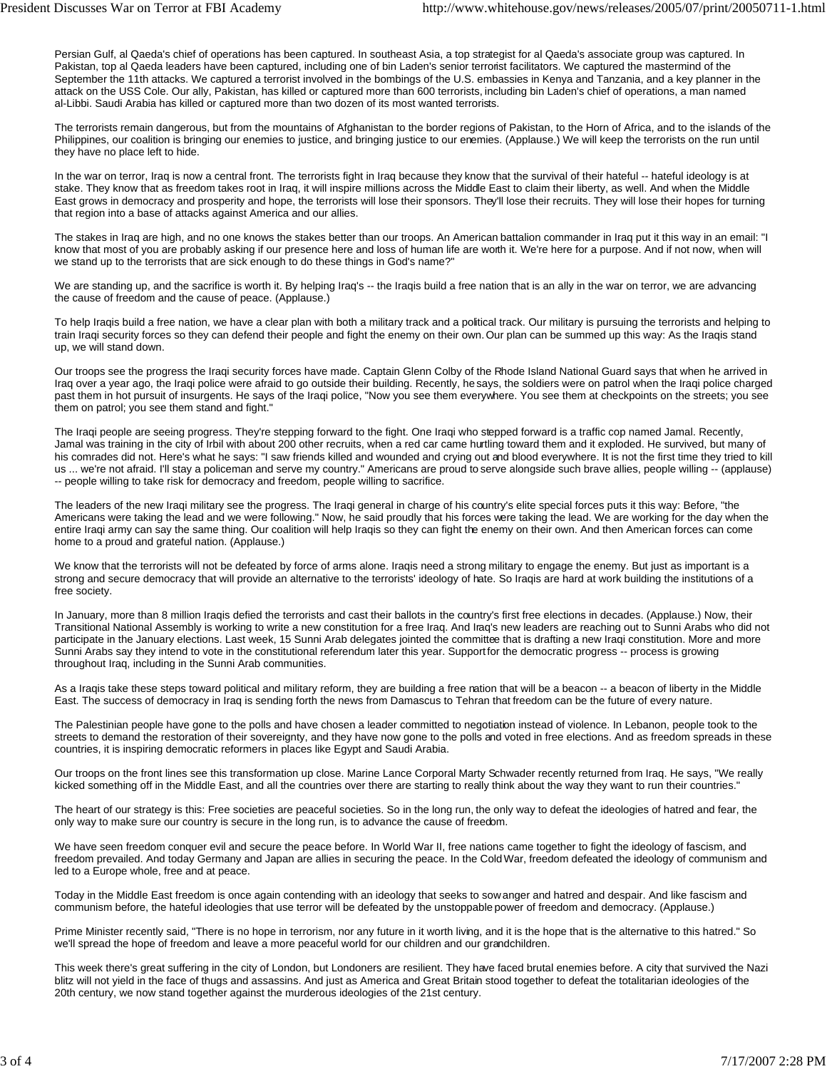Persian Gulf, al Qaeda's chief of operations has been captured. In southeast Asia, a top strategist for al Qaeda's associate group was captured. In Pakistan, top al Qaeda leaders have been captured, including one of bin Laden's senior terrorist facilitators. We captured the mastermind of the September the 11th attacks. We captured a terrorist involved in the bombings of the U.S. embassies in Kenya and Tanzania, and a key planner in the attack on the USS Cole. Our ally, Pakistan, has killed or captured more than 600 terrorists, including bin Laden's chief of operations, a man named al-Libbi. Saudi Arabia has killed or captured more than two dozen of its most wanted terrorists.

The terrorists remain dangerous, but from the mountains of Afghanistan to the border regions of Pakistan, to the Horn of Africa, and to the islands of the Philippines, our coalition is bringing our enemies to justice, and bringing justice to our enemies. (Applause.) We will keep the terrorists on the run until they have no place left to hide.

In the war on terror, Iraq is now a central front. The terrorists fight in Iraq because they know that the survival of their hateful -- hateful ideology is at stake. They know that as freedom takes root in Iraq, it will inspire millions across the Middle East to claim their liberty, as well. And when the Middle East grows in democracy and prosperity and hope, the terrorists will lose their sponsors. They'll lose their recruits. They will lose their hopes for turning that region into a base of attacks against America and our allies.

The stakes in Iraq are high, and no one knows the stakes better than our troops. An American battalion commander in Iraq put it this way in an email: "I know that most of you are probably asking if our presence here and loss of human life are worth it. We're here for a purpose. And if not now, when will we stand up to the terrorists that are sick enough to do these things in God's name?"

We are standing up, and the sacrifice is worth it. By helping Iraq's -- the Iragis build a free nation that is an ally in the war on terror, we are advancing the cause of freedom and the cause of peace. (Applause.)

To help Iraqis build a free nation, we have a clear plan with both a military track and a political track. Our military is pursuing the terrorists and helping to train Iraqi security forces so they can defend their people and fight the enemy on their own. Our plan can be summed up this way: As the Iraqis stand up, we will stand down.

Our troops see the progress the Iraqi security forces have made. Captain Glenn Colby of the Rhode Island National Guard says that when he arrived in Iraq over a year ago, the Iraqi police were afraid to go outside their building. Recently, he says, the soldiers were on patrol when the Iraqi police charged past them in hot pursuit of insurgents. He says of the Iraqi police, "Now you see them everywhere. You see them at checkpoints on the streets; you see them on patrol; you see them stand and fight."

The Iraqi people are seeing progress. They're stepping forward to the fight. One Iraqi who stepped forward is a traffic cop named Jamal. Recently, Jamal was training in the city of Irbil with about 200 other recruits, when a red car came hurtling toward them and it exploded. He survived, but many of his comrades did not. Here's what he says: "I saw friends killed and wounded and crying out and blood everywhere. It is not the first time they tried to kill us ... we're not afraid. I'll stay a policeman and serve my country." Americans are proud to serve alongside such brave allies, people willing -- (applause) -- people willing to take risk for democracy and freedom, people willing to sacrifice.

The leaders of the new Iraqi military see the progress. The Iraqi general in charge of his country's elite special forces puts it this way: Before, "the Americans were taking the lead and we were following." Now, he said proudly that his forces were taking the lead. We are working for the day when the entire Iraqi army can say the same thing. Our coalition will help Iraqis so they can fight the enemy on their own. And then American forces can come home to a proud and grateful nation. (Applause.)

We know that the terrorists will not be defeated by force of arms alone. Iraqis need a strong military to engage the enemy. But just as important is a strong and secure democracy that will provide an alternative to the terrorists' ideology of hate. So Iraqis are hard at work building the institutions of a free society.

In January, more than 8 million Iraqis defied the terrorists and cast their ballots in the country's first free elections in decades. (Applause.) Now, their Transitional National Assembly is working to write a new constitution for a free Iraq. And Iraq's new leaders are reaching out to Sunni Arabs who did not participate in the January elections. Last week, 15 Sunni Arab delegates jointed the committee that is drafting a new Iraqi constitution. More and more Sunni Arabs say they intend to vote in the constitutional referendum later this year. Support for the democratic progress -- process is growing throughout Iraq, including in the Sunni Arab communities.

As a Iraqis take these steps toward political and military reform, they are building a free ration that will be a beacon -- a beacon of liberty in the Middle East. The success of democracy in Iraq is sending forth the news from Damascus to Tehran that freedom can be the future of every nature.

The Palestinian people have gone to the polls and have chosen a leader committed to negotiation instead of violence. In Lebanon, people took to the streets to demand the restoration of their sovereignty, and they have now gone to the polls and voted in free elections. And as freedom spreads in these countries, it is inspiring democratic reformers in places like Egypt and Saudi Arabia.

Our troops on the front lines see this transformation up close. Marine Lance Corporal Marty Schwader recently returned from Iraq. He says, "We really kicked something off in the Middle East, and all the countries over there are starting to really think about the way they want to run their countries."

The heart of our strategy is this: Free societies are peaceful societies. So in the long run, the only way to defeat the ideologies of hatred and fear, the only way to make sure our country is secure in the long run, is to advance the cause of freedom.

We have seen freedom conquer evil and secure the peace before. In World War II, free nations came together to fight the ideology of fascism, and freedom prevailed. And today Germany and Japan are allies in securing the peace. In the Cold War, freedom defeated the ideology of communism and led to a Europe whole, free and at peace.

Today in the Middle East freedom is once again contending with an ideology that seeks to sow anger and hatred and despair. And like fascism and communism before, the hateful ideologies that use terror will be defeated by the unstoppable power of freedom and democracy. (Applause.)

Prime Minister recently said, "There is no hope in terrorism, nor any future in it worth living, and it is the hope that is the alternative to this hatred." So we'll spread the hope of freedom and leave a more peaceful world for our children and our grandchildren.

This week there's great suffering in the city of London, but Londoners are resilient. They have faced brutal enemies before. A city that survived the Nazi blitz will not yield in the face of thugs and assassins. And just as America and Great Britain stood together to defeat the totalitarian ideologies of the 20th century, we now stand together against the murderous ideologies of the 21st century.